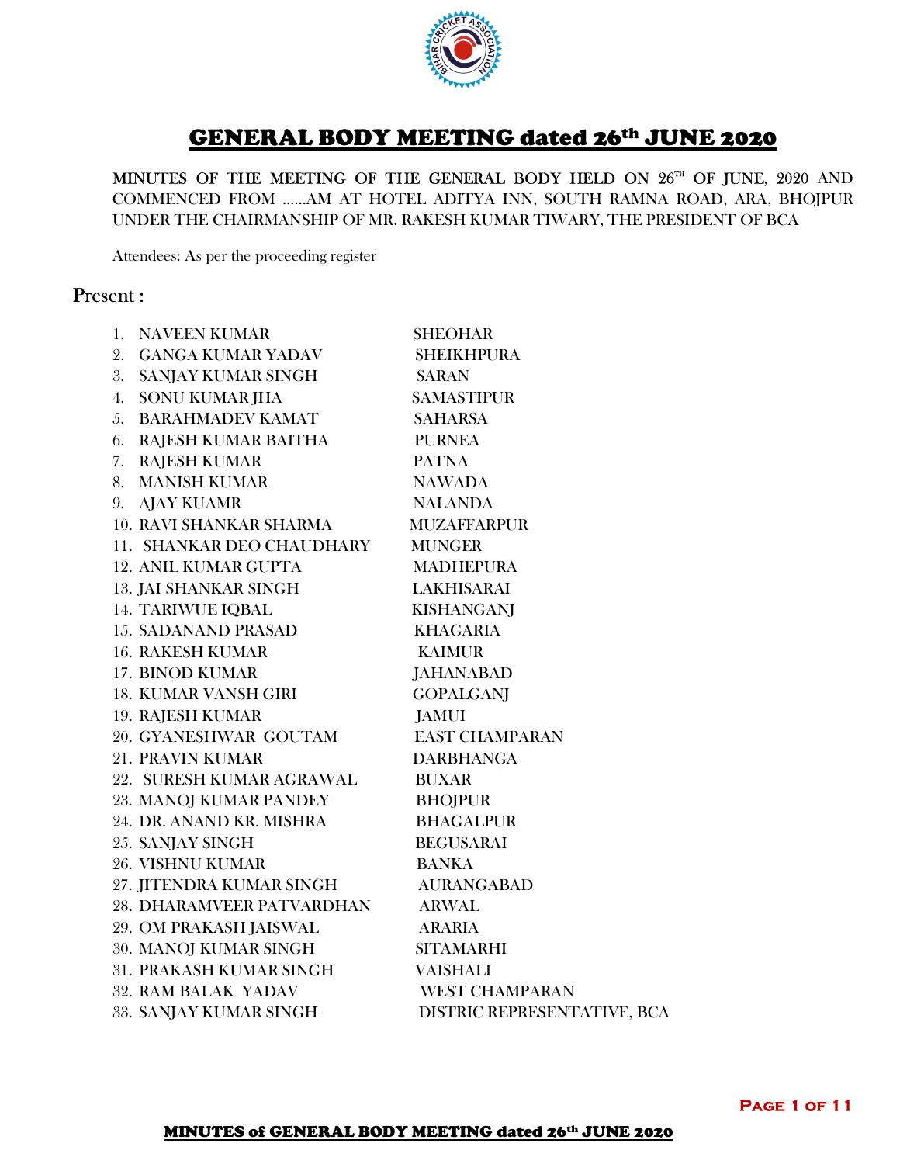

# GENERAL BODY MEETING dated 26th JUNE 2020

MINUTES OF THE MEETING OF THE GENERAL BODY HELD ON 26<sup>TH</sup> OF JUNE, 2020 AND COMMENCED FROM ……AM AT HOTEL ADITYA INN, SOUTH RAMNA ROAD, ARA, BHOJPUR UNDER THE CHAIRMANSHIP OF MR. RAKESH KUMAR TIWARY, THE PRESIDENT OF BCA

Attendees: As per the proceeding register

# Present :

| 1. NAVEEN KUMAR                  | <b>SHEOHAR</b>              |
|----------------------------------|-----------------------------|
| 2. GANGA KUMAR YADAV             | <b>SHEIKHPURA</b>           |
| 3. SANJAY KUMAR SINGH            | <b>SARAN</b>                |
| 4. SONU KUMAR JHA                | <b>SAMASTIPUR</b>           |
| <b>5. BARAHMADEV KAMAT</b>       | <b>SAHARSA</b>              |
| 6. RAJESH KUMAR BAITHA           | <b>PURNEA</b>               |
| 7. RAJESH KUMAR                  | <b>PATNA</b>                |
| 8. MANISH KUMAR                  | <b>NAWADA</b>               |
| 9. AJAY KUAMR                    | <b>NALANDA</b>              |
| <b>10. RAVI SHANKAR SHARMA</b>   | <b>MUZAFFARPUR</b>          |
| 11. SHANKAR DEO CHAUDHARY        | <b>MUNGER</b>               |
| <b>12. ANIL KUMAR GUPTA</b>      | <b>MADHEPURA</b>            |
| <b>13. JAI SHANKAR SINGH</b>     | LAKHISARAI                  |
| <b>14. TARIWUE IQBAL</b>         | KISHANGANJ                  |
| <b>15. SADANAND PRASAD</b>       | <b>KHAGARIA</b>             |
| <b>16. RAKESH KUMAR</b>          | <b>KAIMUR</b>               |
| <b>17. BINOD KUMAR</b>           | <b>JAHANABAD</b>            |
| <b>18. KUMAR VANSH GIRI</b>      | <b>GOPALGANI</b>            |
| <b>19. RAJESH KUMAR</b>          | <b>JAMUI</b>                |
| 20. GYANESHWAR GOUTAM            | <b>EAST CHAMPARAN</b>       |
| <b>21. PRAVIN KUMAR</b>          | <b>DARBHANGA</b>            |
| 22. SURESH KUMAR AGRAWAL         | <b>BUXAR</b>                |
| 23. MANOJ KUMAR PANDEY           | <b>BHOJPUR</b>              |
| 24. DR. ANAND KR. MISHRA         | <b>BHAGALPUR</b>            |
| 25. SANJAY SINGH                 | <b>BEGUSARAI</b>            |
| <b>26. VISHNU KUMAR</b>          | <b>BANKA</b>                |
| 27. JITENDRA KUMAR SINGH         | <b>AURANGABAD</b>           |
| <b>28. DHARAMVEER PATVARDHAN</b> | <b>ARWAL</b>                |
| 29. OM PRAKASH JAISWAL           | <b>ARARIA</b>               |
| 30. MANOJ KUMAR SINGH            | <b>SITAMARHI</b>            |
| 31. PRAKASH KUMAR SINGH          | <b>VAISHALI</b>             |
| <b>32. RAM BALAK YADAV</b>       | <b>WEST CHAMPARAN</b>       |
| 33. SANJAY KUMAR SINGH           | DISTRIC REPRESENTATIVE, BCA |
|                                  |                             |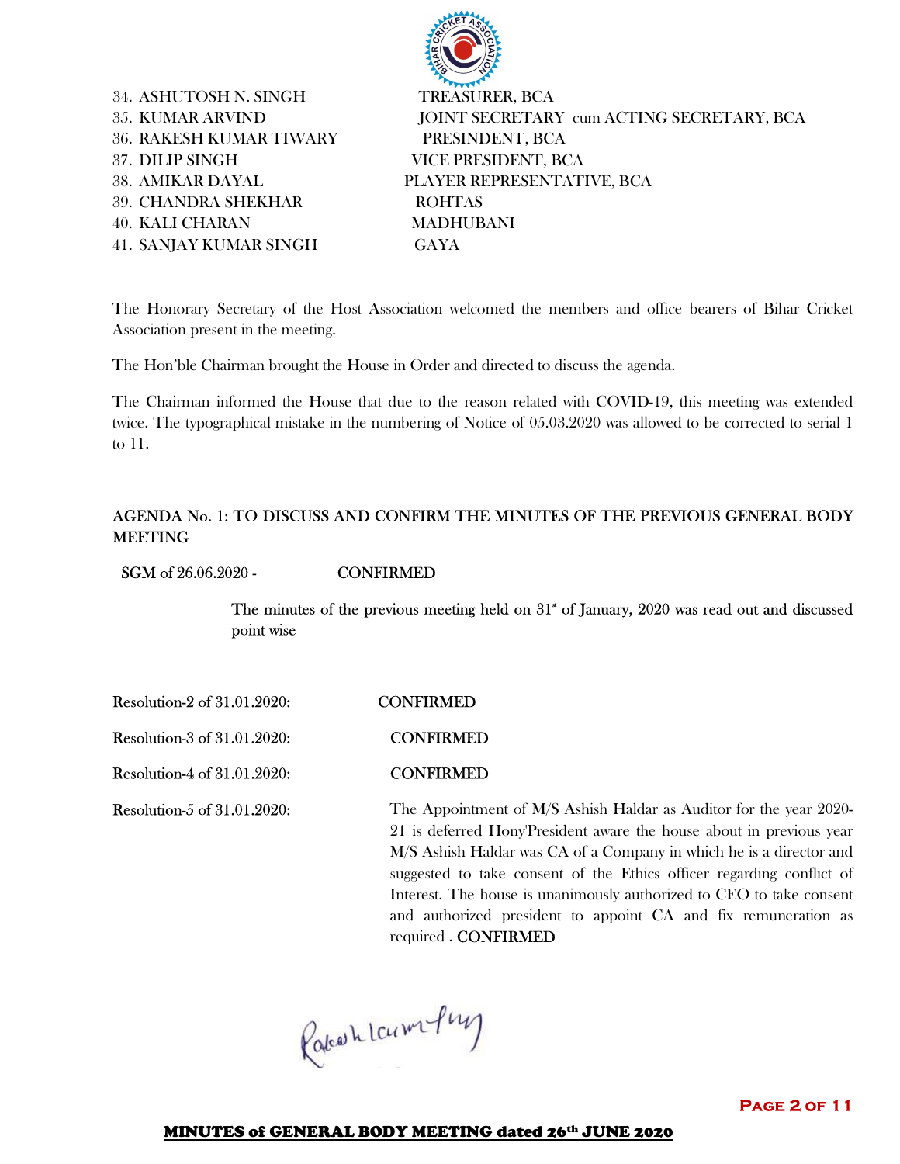34. ASHUTOSH N. SINGH TREASURER, BCA 36. RAKESH KUMAR TIWARY PRESINDENT, BCA 37. DILIP SINGH VICE PRESIDENT, BCA 39. CHANDRA SHEKHAR ROHTAS 40. KALI CHARAN MADHUBANI 41. SANJAY KUMAR SINGH GAYA

35. KUMAR ARVIND JOINT SECRETARY cum ACTING SECRETARY, BCA 38. AMIKAR DAYAL PLAYER REPRESENTATIVE, BCA

The Honorary Secretary of the Host Association welcomed the members and office bearers of Bihar Cricket Association present in the meeting.

The Hon'ble Chairman brought the House in Order and directed to discuss the agenda.

The Chairman informed the House that due to the reason related with COVID-19, this meeting was extended twice. The typographical mistake in the numbering of Notice of 05.03.2020 was allowed to be corrected to serial 1 to 11.

#### AGENDA No. 1: TO DISCUSS AND CONFIRM THE MINUTES OF THE PREVIOUS GENERAL BODY MEETING

SGM of 26.06.2020 - CONFIRMED

The minutes of the previous meeting held on  $31^*$  of January, 2020 was read out and discussed point wise

Resolution-2 of 31.01.2020: CONFIRMED

Resolution-3 of 31.01.2020: CONFIRMED

Resolution-4 of 31.01.2020: CONFIRMED

Resolution-5 of 31.01.2020: The Appointment of M/S Ashish Haldar as Auditor for the year 2020-21 is deferred Hony'President aware the house about in previous year M/S Ashish Haldar was CA of a Company in which he is a director and suggested to take consent of the Ethics officer regarding conflict of Interest. The house is unanimously authorized to CEO to take consent and authorized president to appoint CA and fix remuneration as required . CONFIRMED

Rateashlaumfung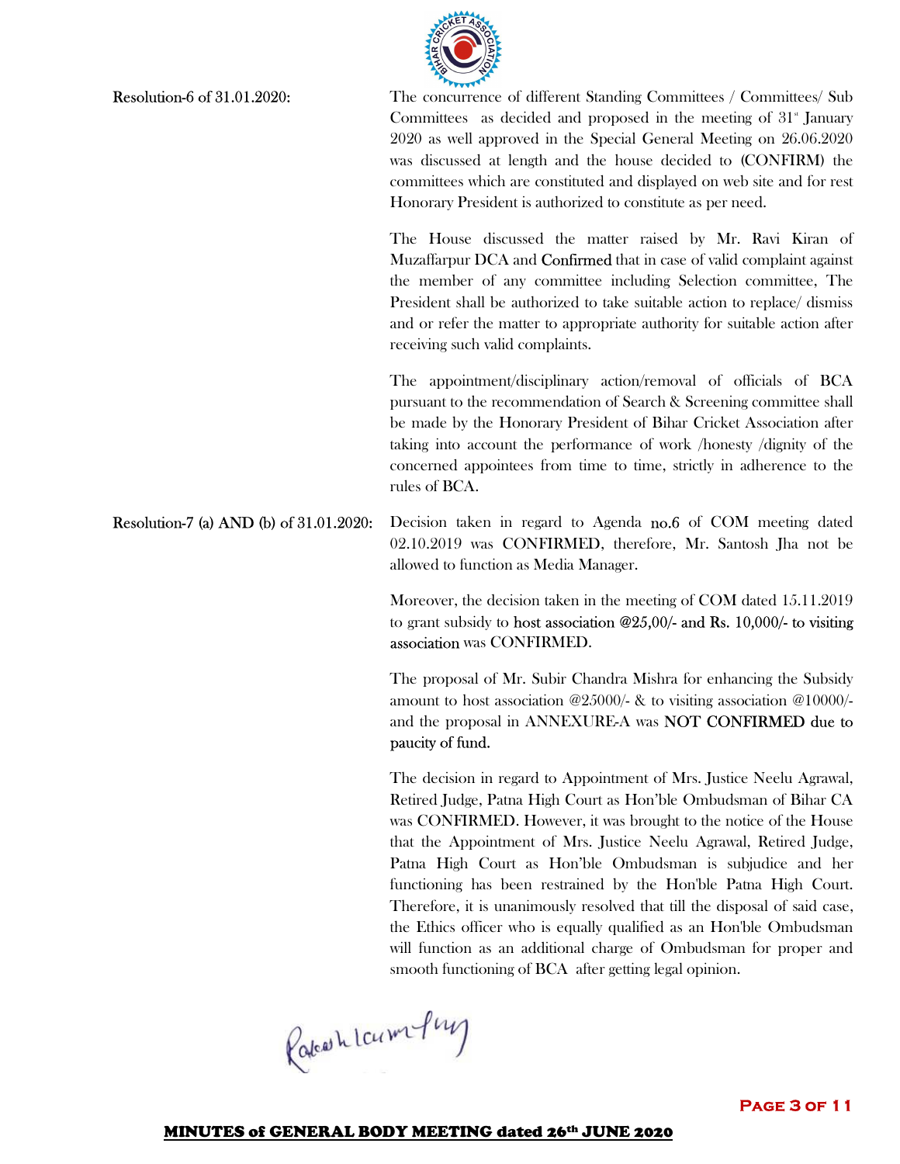

Resolution-6 of 31.01.2020: The concurrence of different Standing Committees / Committees Sub Committees as decided and proposed in the meeting of  $31<sup>{\circ}</sup>$ </sup> January 2020 as well approved in the Special General Meeting on 26.06.2020 was discussed at length and the house decided to (CONFIRM) the committees which are constituted and displayed on web site and for rest Honorary President is authorized to constitute as per need.

> The House discussed the matter raised by Mr. Ravi Kiran of Muzaffarpur DCA and **Confirmed** that in case of valid complaint against the member of any committee including Selection committee, The President shall be authorized to take suitable action to replace/ dismiss and or refer the matter to appropriate authority for suitable action after receiving such valid complaints.

> The appointment/disciplinary action/removal of officials of BCA pursuant to the recommendation of Search & Screening committee shall be made by the Honorary President of Bihar Cricket Association after taking into account the performance of work /honesty /dignity of the concerned appointees from time to time, strictly in adherence to the rules of BCA.

Resolution-7 (a) AND (b) of 31.01.2020: Decision taken in regard to Agenda no.6 of COM meeting dated 02.10.2019 was CONFIRMED, therefore, Mr. Santosh Jha not be allowed to function as Media Manager.

> Moreover, the decision taken in the meeting of COM dated 15.11.2019 to grant subsidy to host association @25,00/- and Rs. 10,000/- to visiting association was CONFIRMED.

> The proposal of Mr. Subir Chandra Mishra for enhancing the Subsidy amount to host association @25000/- & to visiting association @10000/ and the proposal in ANNEXURE-A was NOT CONFIRMED due to paucity of fund.

> The decision in regard to Appointment of Mrs. Justice Neelu Agrawal, Retired Judge, Patna High Court as Hon'ble Ombudsman of Bihar CA was CONFIRMED. However, it was brought to the notice of the House that the Appointment of Mrs. Justice Neelu Agrawal, Retired Judge, Patna High Court as Hon'ble Ombudsman is subjudice and her functioning has been restrained by the Hon'ble Patna High Court. Therefore, it is unanimously resolved that till the disposal of said case, the Ethics officer who is equally qualified as an Hon'ble Ombudsman will function as an additional charge of Ombudsman for proper and smooth functioning of BCA after getting legal opinion.

Rateashlaumfung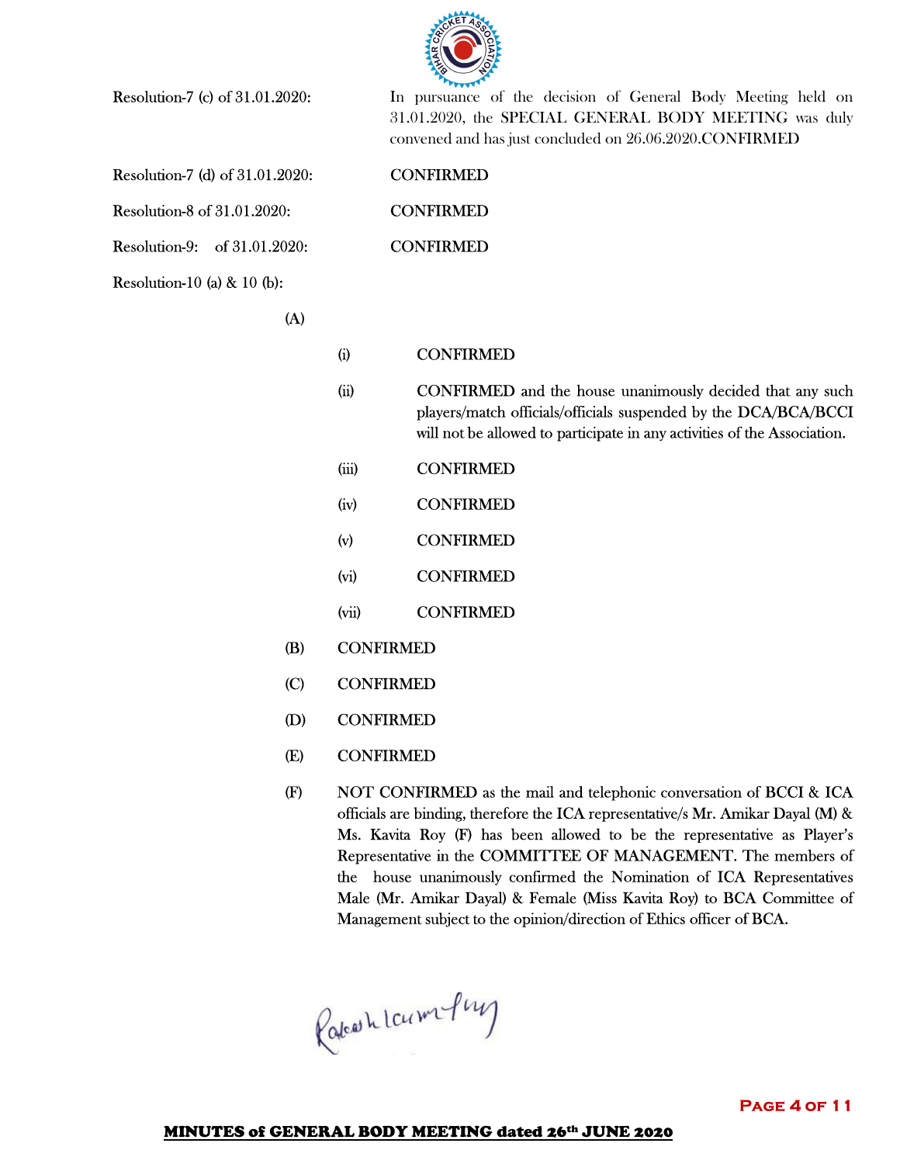

Resolution-7 (d) of 31.01.2020: CONFIRMED

Resolution-8 of 31.01.2020: CONFIRMED

Resolution-9: of 31.01.2020: CONFIRMED

Resolution-10 (a) & 10 (b):

**Resolution-7 (c) of 31.01.2020:** In pursuance of the decision of General Body Meeting held on 31.01.2020, the SPECIAL GENERAL BODY MEETING was duly convened and has just concluded on 26.06.2020.CONFIRMED

 $(A)$ 

## (i) CONFIRMED

- (ii) CONFIRMED and the house unanimously decided that any such players/match officials/officials suspended by the DCA/BCA/BCCI will not be allowed to participate in any activities of the Association.
- (iii) CONFIRMED
- (iv) CONFIRMED
- (v) CONFIRMED
- (vi) CONFIRMED
- (vii) CONFIRMED
- (B) CONFIRMED
- (C) CONFIRMED
- (D) CONFIRMED
- (E) CONFIRMED
- (F) NOT CONFIRMED as the mail and telephonic conversation of BCCI & ICA officials are binding, therefore the ICA representative/s Mr. Amikar Dayal (M) & Ms. Kavita Roy (F) has been allowed to be the representative as Player's Representative in the COMMITTEE OF MANAGEMENT. The members of the house unanimously confirmed the Nomination of ICA Representatives Male (Mr. Amikar Dayal) & Female (Miss Kavita Roy) to BCA Committee of Management subject to the opinion/direction of Ethics officer of BCA.

Rakeshlampung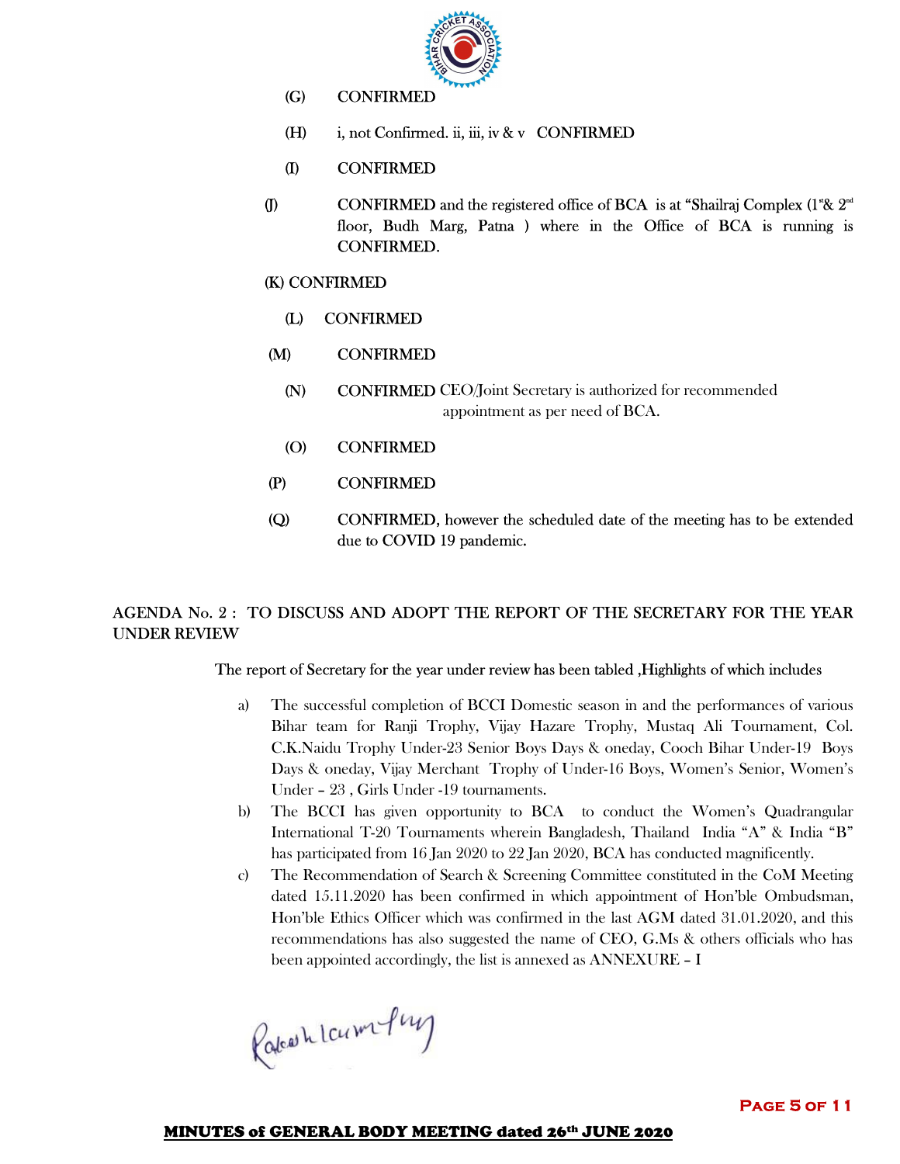

- (G) CONFIRMED
- (H) i, not Confirmed. ii, iii, iv & v CONFIRMED
- (I) CONFIRMED
- (J) CONFIRMED and the registered office of BCA is at "Shailraj Complex (1"&  $2<sup>nd</sup>$ floor, Budh Marg, Patna ) where in the Office of BCA is running is CONFIRMED.
	- (K) CONFIRMED
		- (L) CONFIRMED
	- (M) CONFIRMED
		- (N) CONFIRMED CEO/Joint Secretary is authorized for recommended appointment as per need of BCA.
		- (O) CONFIRMED
	- (P) CONFIRMED
	- (Q) CONFIRMED, however the scheduled date of the meeting has to be extended due to COVID 19 pandemic.

## AGENDA No. 2 : TO DISCUSS AND ADOPT THE REPORT OF THE SECRETARY FOR THE YEAR UNDER REVIEW

#### The report of Secretary for the year under review has been tabled ,Highlights of which includes

- a) The successful completion of BCCI Domestic season in and the performances of various Bihar team for Ranji Trophy, Vijay Hazare Trophy, Mustaq Ali Tournament, Col. C.K.Naidu Trophy Under-23 Senior Boys Days & oneday, Cooch Bihar Under-19 Boys Days & oneday, Vijay Merchant Trophy of Under-16 Boys, Women's Senior, Women's Under – 23 , Girls Under -19 tournaments.
- b) The BCCI has given opportunity to BCA to conduct the Women's Quadrangular International T-20 Tournaments wherein Bangladesh, Thailand India "A" & India "B" has participated from 16 Jan 2020 to 22 Jan 2020, BCA has conducted magnificently.
- c) The Recommendation of Search & Screening Committee constituted in the CoM Meeting dated 15.11.2020 has been confirmed in which appointment of Hon'ble Ombudsman, Hon'ble Ethics Officer which was confirmed in the last AGM dated 31.01.2020, and this recommendations has also suggested the name of CEO, G.Ms & others officials who has been appointed accordingly, the list is annexed as ANNEXURE – I

Rateashlaumfung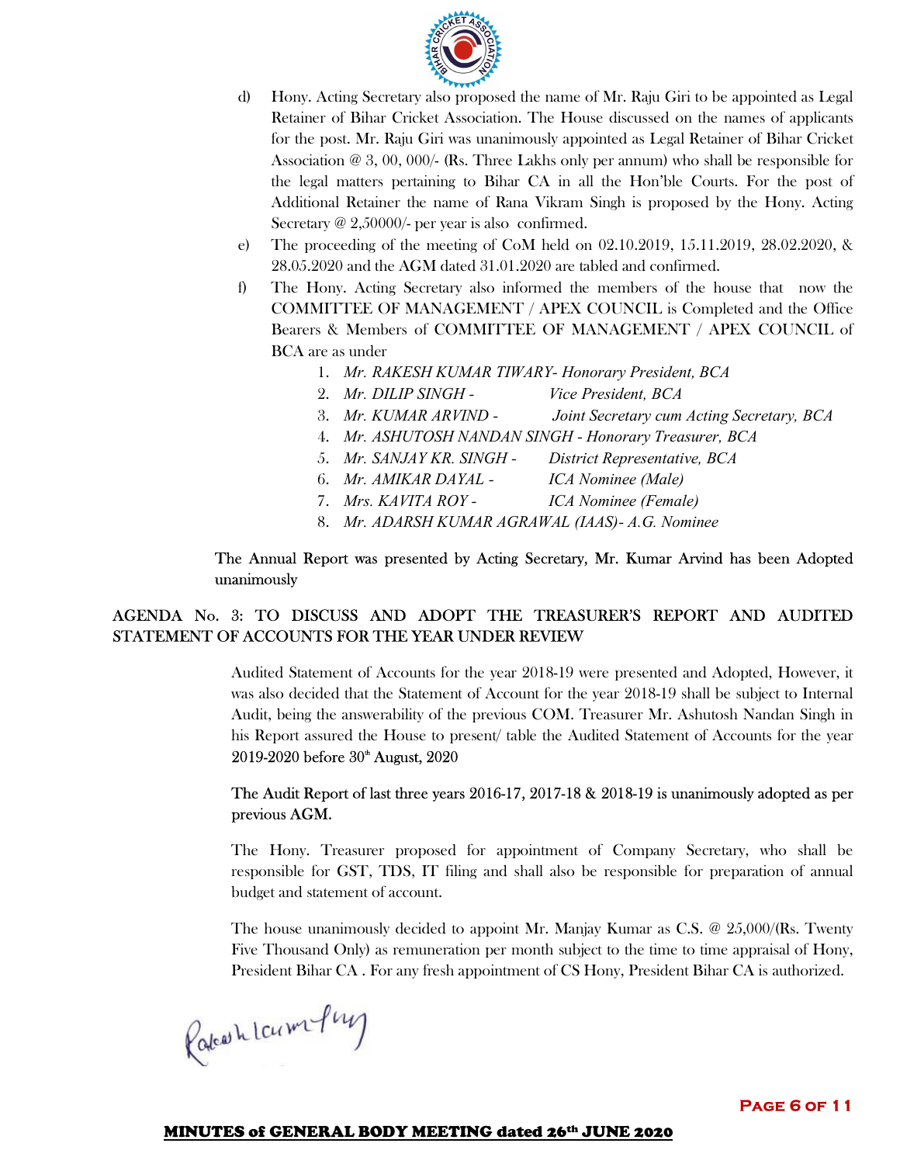

- d) Hony. Acting Secretary also proposed the name of Mr. Raju Giri to be appointed as Legal Retainer of Bihar Cricket Association. The House discussed on the names of applicants for the post. Mr. Raju Giri was unanimously appointed as Legal Retainer of Bihar Cricket Association @ 3, 00, 000/- (Rs. Three Lakhs only per annum) who shall be responsible for the legal matters pertaining to Bihar CA in all the Hon'ble Courts. For the post of Additional Retainer the name of Rana Vikram Singh is proposed by the Hony. Acting Secretary  $\omega$  2,50000/- per year is also confirmed.
- e) The proceeding of the meeting of CoM held on 02.10.2019, 15.11.2019, 28.02.2020, & 28.05.2020 and the AGM dated 31.01.2020 are tabled and confirmed.
- f) The Hony. Acting Secretary also informed the members of the house that now the COMMITTEE OF MANAGEMENT / APEX COUNCIL is Completed and the Office Bearers & Members of COMMITTEE OF MANAGEMENT / APEX COUNCIL of BCA are as under
	- 1. *Mr. RAKESH KUMAR TIWARY- Honorary President, BCA*
	- 2. *Mr. DILIP SINGH Vice President, BCA*
	- 3. *Mr. KUMAR ARVIND Joint Secretary cum Acting Secretary, BCA*
	- 4. *Mr. ASHUTOSH NANDAN SINGH Honorary Treasurer, BCA*
	- 5. *Mr. SANJAY KR. SINGH District Representative, BCA*
	- 6. *Mr. AMIKAR DAYAL ICA Nominee (Male)*
	- 7. *Mrs. KAVITA ROY ICA Nominee (Female)*
	- 8. *Mr. ADARSH KUMAR AGRAWAL (IAAS)- A.G. Nominee*

#### The Annual Report was presented by Acting Secretary, Mr. Kumar Arvind has been Adopted unanimously

## AGENDA No. 3: TO DISCUSS AND ADOPT THE TREASURER'S REPORT AND AUDITED STATEMENT OF ACCOUNTS FOR THE YEAR UNDER REVIEW

Audited Statement of Accounts for the year 2018-19 were presented and Adopted, However, it was also decided that the Statement of Account for the year 2018-19 shall be subject to Internal Audit, being the answerability of the previous COM. Treasurer Mr. Ashutosh Nandan Singh in his Report assured the House to present/ table the Audited Statement of Accounts for the year 2019-2020 before 30<sup>th</sup> August, 2020

## The Audit Report of last three years 2016-17, 2017-18 & 2018-19 is unanimously adopted as per previous AGM.

The Hony. Treasurer proposed for appointment of Company Secretary, who shall be responsible for GST, TDS, IT filing and shall also be responsible for preparation of annual budget and statement of account.

The house unanimously decided to appoint Mr. Manjay Kumar as C.S. @ 25,000/(Rs. Twenty Five Thousand Only) as remuneration per month subject to the time to time appraisal of Hony, President Bihar CA . For any fresh appointment of CS Hony, President Bihar CA is authorized.

Rakeshlamfung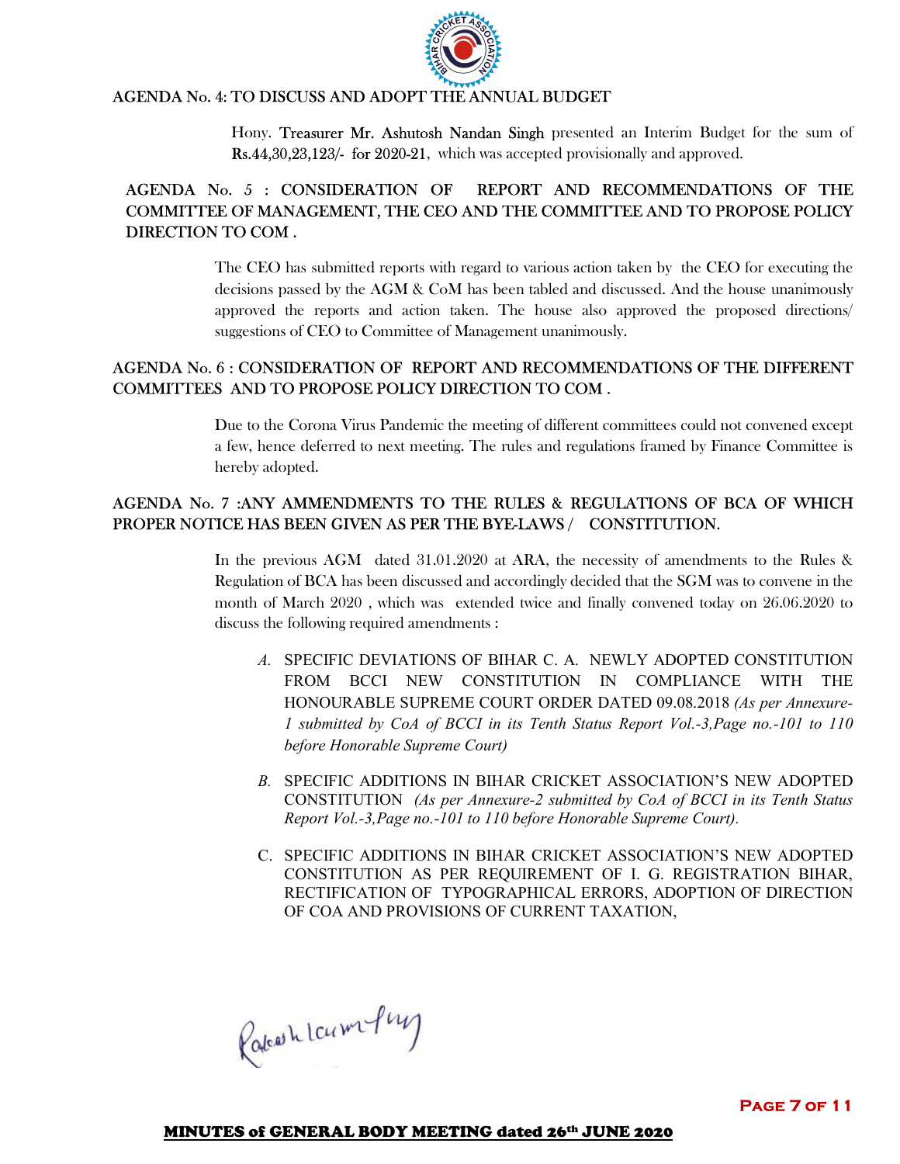

# AGENDA No. 4: TO DISCUSS AND ADOPT THE ANNUAL BUDGET

Hony. Treasurer Mr. Ashutosh Nandan Singh presented an Interim Budget for the sum of Rs.44,30,23,123/- for 2020-21, which was accepted provisionally and approved.

# AGENDA No. 5 : CONSIDERATION OF REPORT AND RECOMMENDATIONS OF THE COMMITTEE OF MANAGEMENT, THE CEO AND THE COMMITTEE AND TO PROPOSE POLICY DIRECTION TO COM .

The CEO has submitted reports with regard to various action taken by the CEO for executing the decisions passed by the AGM & CoM has been tabled and discussed. And the house unanimously approved the reports and action taken. The house also approved the proposed directions/ suggestions of CEO to Committee of Management unanimously.

# AGENDA No. 6 : CONSIDERATION OF REPORT AND RECOMMENDATIONS OF THE DIFFERENT COMMITTEES AND TO PROPOSE POLICY DIRECTION TO COM .

Due to the Corona Virus Pandemic the meeting of different committees could not convened except a few, hence deferred to next meeting. The rules and regulations framed by Finance Committee is hereby adopted.

# AGENDA No. 7 :ANY AMMENDMENTS TO THE RULES & REGULATIONS OF BCA OF WHICH PROPER NOTICE HAS BEEN GIVEN AS PER THE BYE-LAWS / CONSTITUTION.

In the previous AGM dated 31.01.2020 at ARA, the necessity of amendments to the Rules & Regulation of BCA has been discussed and accordingly decided that the SGM was to convene in the month of March 2020 , which was extended twice and finally convened today on 26.06.2020 to discuss the following required amendments :

- *A.* SPECIFIC DEVIATIONS OF BIHAR C. A. NEWLY ADOPTED CONSTITUTION FROM BCCI NEW CONSTITUTION IN COMPLIANCE WITH THE HONOURABLE SUPREME COURT ORDER DATED 09.08.2018 *(As per Annexure-1 submitted by CoA of BCCI in its Tenth Status Report Vol.-3,Page no.-101 to 110 before Honorable Supreme Court)*
- *B.* SPECIFIC ADDITIONS IN BIHAR CRICKET ASSOCIATION'S NEW ADOPTED CONSTITUTION *(As per Annexure-2 submitted by CoA of BCCI in its Tenth Status Report Vol.-3,Page no.-101 to 110 before Honorable Supreme Court).*
- C. SPECIFIC ADDITIONS IN BIHAR CRICKET ASSOCIATION'S NEW ADOPTED CONSTITUTION AS PER REQUIREMENT OF I. G. REGISTRATION BIHAR, RECTIFICATION OF TYPOGRAPHICAL ERRORS, ADOPTION OF DIRECTION OF COA AND PROVISIONS OF CURRENT TAXATION,

Rateashlaumfung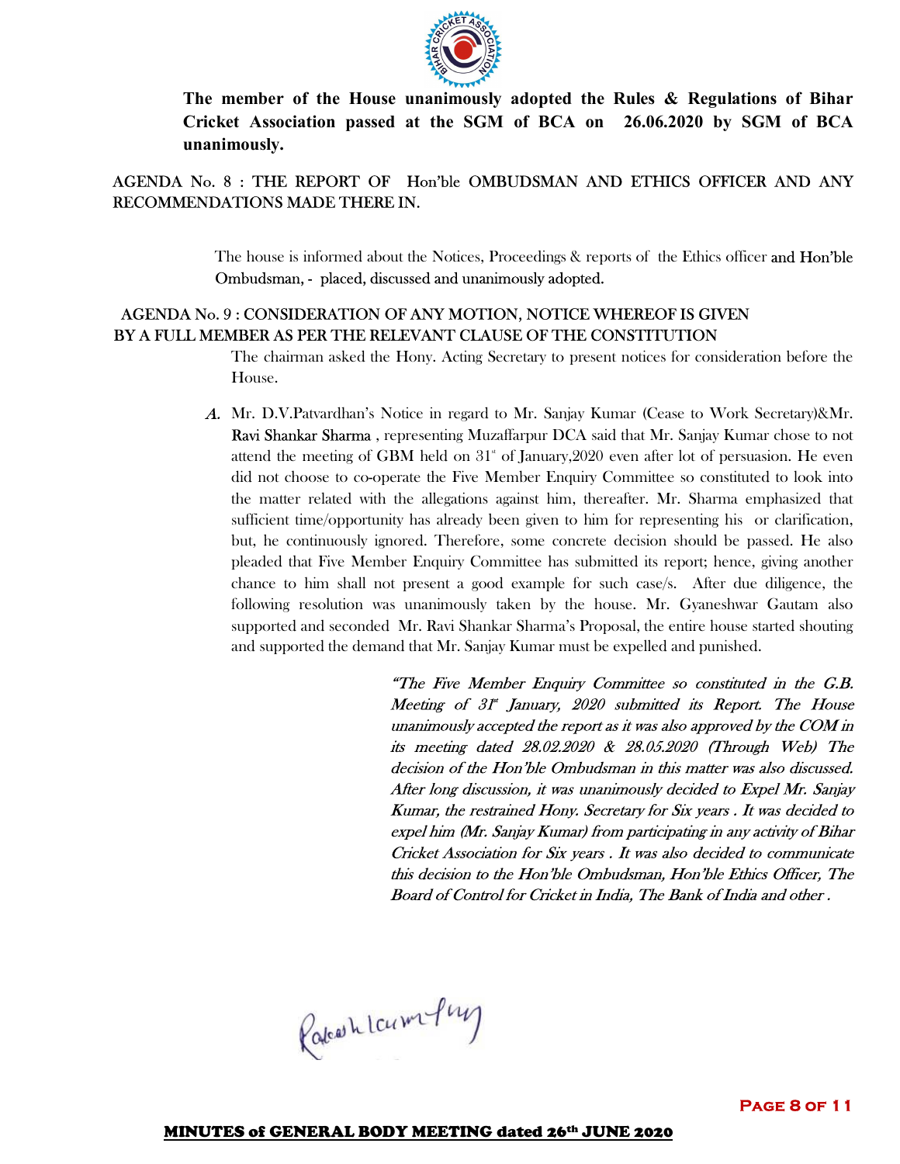

**The member of the House unanimously adopted the Rules & Regulations of Bihar Cricket Association passed at the SGM of BCA on 26.06.2020 by SGM of BCA unanimously.**

# AGENDA No. 8 : THE REPORT OF Hon'ble OMBUDSMAN AND ETHICS OFFICER AND ANY RECOMMENDATIONS MADE THERE IN.

The house is informed about the Notices, Proceedings & reports of the Ethics officer and Hon'ble Ombudsman, - placed, discussed and unanimously adopted.

# AGENDA No. 9 : CONSIDERATION OF ANY MOTION, NOTICE WHEREOF IS GIVEN BY A FULL MEMBER AS PER THE RELEVANT CLAUSE OF THE CONSTITUTION

The chairman asked the Hony. Acting Secretary to present notices for consideration before the House.

A. Mr. D.V.Patvardhan's Notice in regard to Mr. Sanjay Kumar (Cease to Work Secretary)&Mr. Ravi Shankar Sharma , representing Muzaffarpur DCA said that Mr. Sanjay Kumar chose to not attend the meeting of GBM held on  $31^{\circ}$  of January, 2020 even after lot of persuasion. He even did not choose to co-operate the Five Member Enquiry Committee so constituted to look into the matter related with the allegations against him, thereafter. Mr. Sharma emphasized that sufficient time/opportunity has already been given to him for representing his or clarification, but, he continuously ignored. Therefore, some concrete decision should be passed. He also pleaded that Five Member Enquiry Committee has submitted its report; hence, giving another chance to him shall not present a good example for such case/s. After due diligence, the following resolution was unanimously taken by the house. Mr. Gyaneshwar Gautam also supported and seconded Mr. Ravi Shankar Sharma's Proposal, the entire house started shouting and supported the demand that Mr. Sanjay Kumar must be expelled and punished.

> "The Five Member Enquiry Committee so constituted in the G.B. Meeting of 31<sup>\*</sup> January, 2020 submitted its Report. The House unanimously accepted the report as it was also approved by the COM in its meeting dated 28.02.2020 & 28.05.2020 (Through Web) The decision of the Hon'ble Ombudsman in this matter was also discussed. After long discussion, it was unanimously decided to Expel Mr. Sanjay Kumar, the restrained Hony. Secretary for Six years . It was decided to expel him (Mr. Sanjay Kumar) from participating in any activity of Bihar Cricket Association for Six years . It was also decided to communicate this decision to the Hon'ble Ombudsman, Hon'ble Ethics Officer, The Board of Control for Cricket in India, The Bank of India and other .

Rateashlaumfung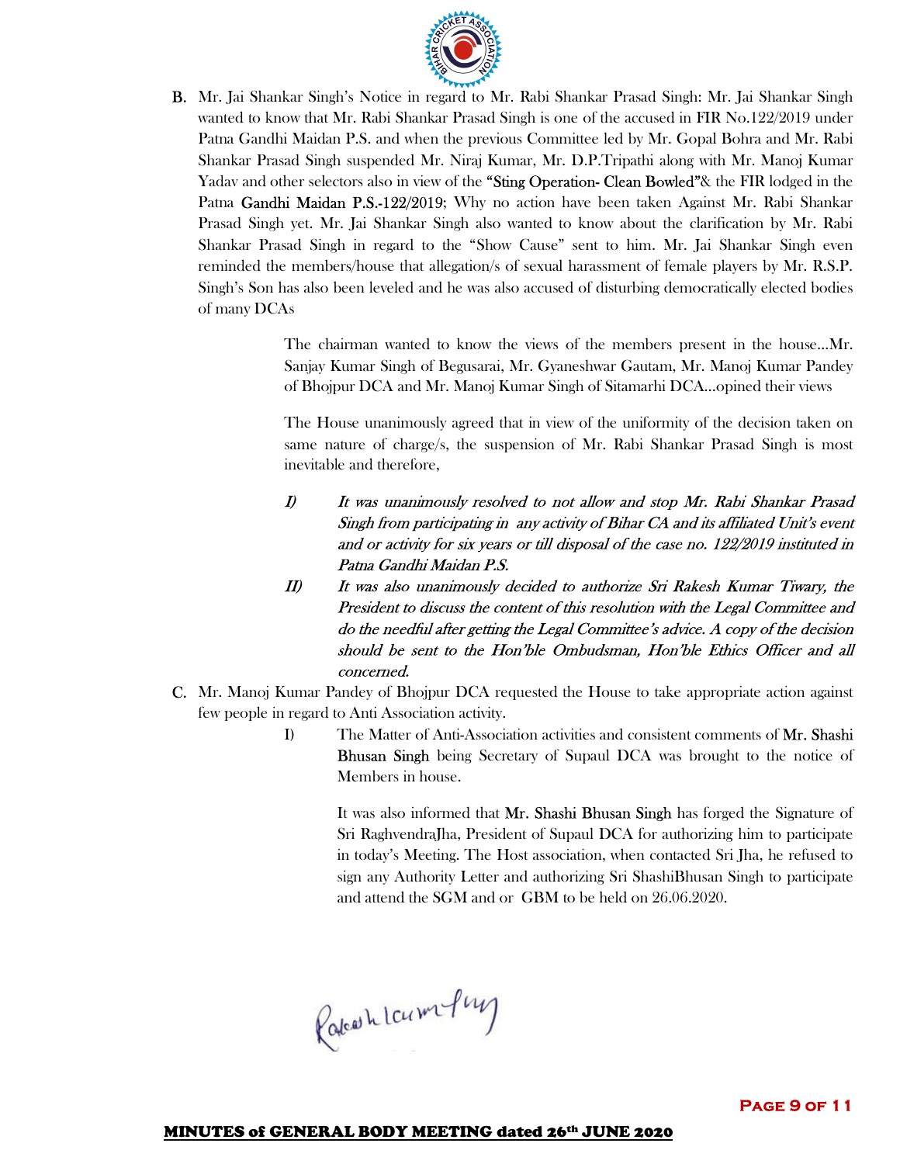

B. Mr. Jai Shankar Singh's Notice in regard to Mr. Rabi Shankar Prasad Singh: Mr. Jai Shankar Singh wanted to know that Mr. Rabi Shankar Prasad Singh is one of the accused in FIR No.122/2019 under Patna Gandhi Maidan P.S. and when the previous Committee led by Mr. Gopal Bohra and Mr. Rabi Shankar Prasad Singh suspended Mr. Niraj Kumar, Mr. D.P.Tripathi along with Mr. Manoj Kumar Yadav and other selectors also in view of the "Sting Operation- Clean Bowled"& the FIR lodged in the Patna Gandhi Maidan P.S.-122/2019; Why no action have been taken Against Mr. Rabi Shankar Prasad Singh yet. Mr. Jai Shankar Singh also wanted to know about the clarification by Mr. Rabi Shankar Prasad Singh in regard to the "Show Cause" sent to him. Mr. Jai Shankar Singh even reminded the members/house that allegation/s of sexual harassment of female players by Mr. R.S.P. Singh's Son has also been leveled and he was also accused of disturbing democratically elected bodies of many DCAs

> The chairman wanted to know the views of the members present in the house…Mr. Sanjay Kumar Singh of Begusarai, Mr. Gyaneshwar Gautam, Mr. Manoj Kumar Pandey of Bhojpur DCA and Mr. Manoj Kumar Singh of Sitamarhi DCA…opined their views

> The House unanimously agreed that in view of the uniformity of the decision taken on same nature of charge/s, the suspension of Mr. Rabi Shankar Prasad Singh is most inevitable and therefore,

- I) It was unanimously resolved to not allow and stop Mr. Rabi Shankar Prasad Singh from participating in any activity of Bihar CA and its affiliated Unit's event and or activity for six years or till disposal of the case no. 122/2019 instituted in Patna Gandhi Maidan P.S.
- II) It was also unanimously decided to authorize Sri Rakesh Kumar Tiwary, the President to discuss the content of this resolution with the Legal Committee and do the needful after getting the Legal Committee's advice. A copy of the decision should be sent to the Hon'ble Ombudsman, Hon'ble Ethics Officer and all concerned.
- C. Mr. Manoj Kumar Pandey of Bhojpur DCA requested the House to take appropriate action against few people in regard to Anti Association activity.
	- I) The Matter of Anti-Association activities and consistent comments of Mr. Shashi Bhusan Singh being Secretary of Supaul DCA was brought to the notice of Members in house.

It was also informed that Mr. Shashi Bhusan Singh has forged the Signature of Sri RaghvendraJha, President of Supaul DCA for authorizing him to participate in today's Meeting. The Host association, when contacted Sri Jha, he refused to sign any Authority Letter and authorizing Sri ShashiBhusan Singh to participate and attend the SGM and or GBM to be held on 26.06.2020.

Rateashlaum-Puy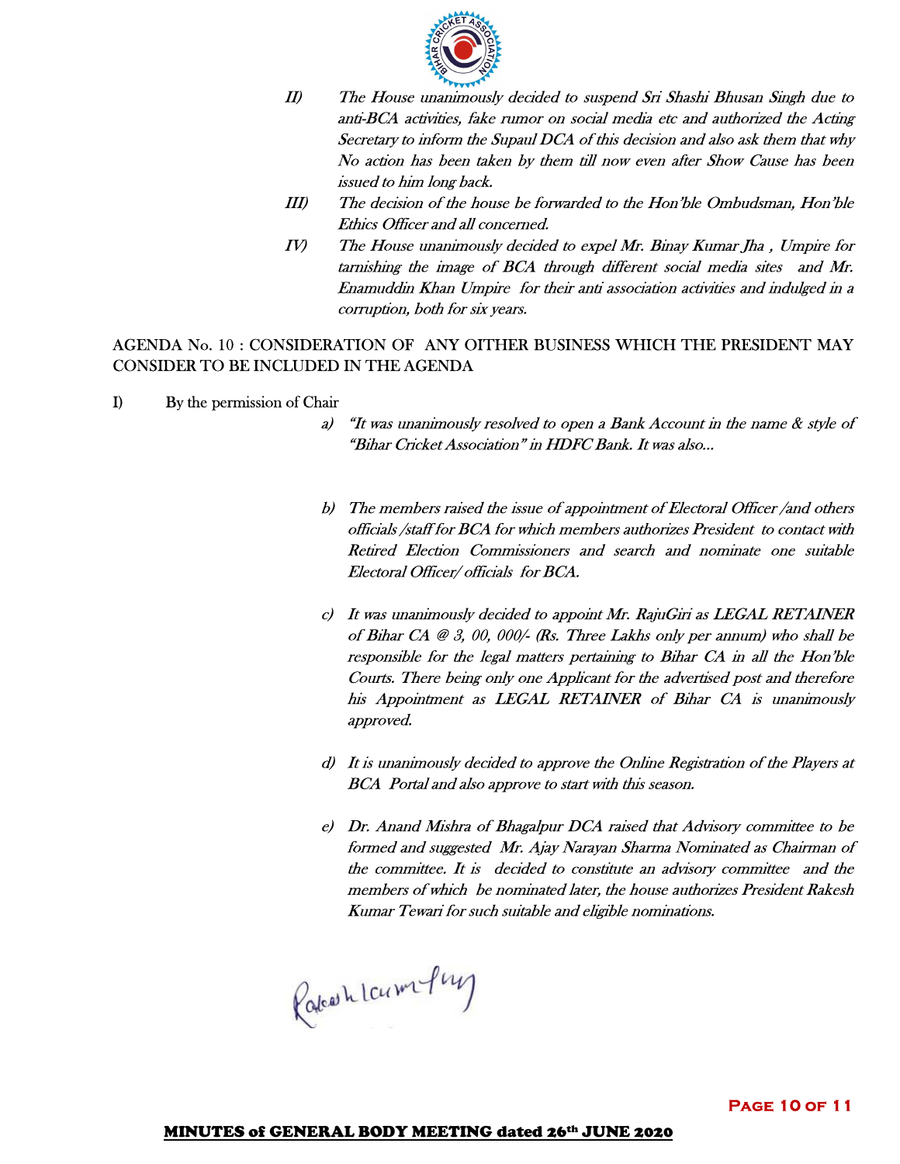

- II) The House unanimously decided to suspend Sri Shashi Bhusan Singh due to anti-BCA activities, fake rumor on social media etc and authorized the Acting Secretary to inform the Supaul DCA of this decision and also ask them that why No action has been taken by them till now even after Show Cause has been issued to him long back.
- III) The decision of the house be forwarded to the Hon'ble Ombudsman, Hon'ble Ethics Officer and all concerned.
- IV) The House unanimously decided to expel Mr. Binay Kumar Jha , Umpire for tarnishing the image of BCA through different social media sites and Mr. Enamuddin Khan Umpire for their anti association activities and indulged in a corruption, both for six years.

AGENDA No. 10 : CONSIDERATION OF ANY OITHER BUSINESS WHICH THE PRESIDENT MAY CONSIDER TO BE INCLUDED IN THE AGENDA

- I) By the permission of Chair
	- a) "It was unanimously resolved to open a Bank Account in the name & style of "Bihar Cricket Association" in HDFC Bank. It was also…
	- b) The members raised the issue of appointment of Electoral Officer /and others officials /staff for BCA for which members authorizes President to contact with Retired Election Commissioners and search and nominate one suitable Electoral Officer/ officials for BCA.
	- c) It was unanimously decided to appoint Mr. RajuGiri as LEGAL RETAINER of Bihar CA @ 3, 00, 000/- (Rs. Three Lakhs only per annum) who shall be responsible for the legal matters pertaining to Bihar CA in all the Hon'ble Courts. There being only one Applicant for the advertised post and therefore his Appointment as LEGAL RETAINER of Bihar CA is unanimously approved.
	- d) It is unanimously decided to approve the Online Registration of the Players at BCA Portal and also approve to start with this season.
	- e) Dr. Anand Mishra of Bhagalpur DCA raised that Advisory committee to be formed and suggested Mr. Ajay Narayan Sharma Nominated as Chairman of the committee. It is decided to constitute an advisory committee and the members of which be nominated later, the house authorizes President Rakesh Kumar Tewari for such suitable and eligible nominations.

Rakeshlampung